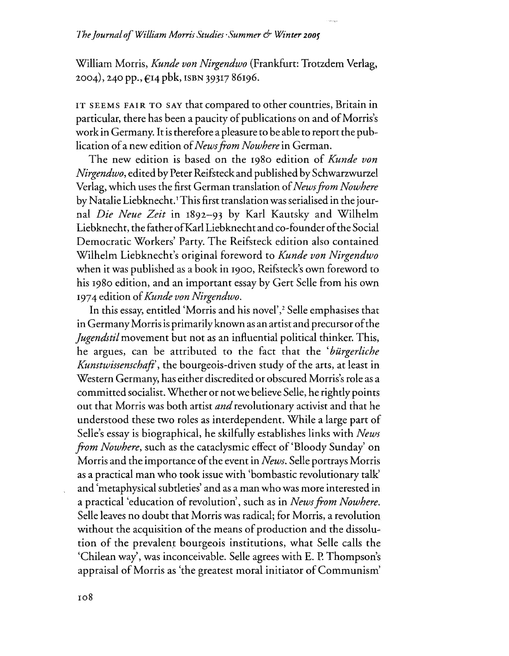William Morris, *Kunde von Nirgendwo* (Frankfurt: Trotzdem Verlag, 2004),240 pp., €14pbk, ISBN 39317 86196.

IT SEEMS FAIR TO SAY that compared to other countries, Britain in particular, there has been a paucity of publications on and of Morris's work in Germany. It is therefore a pleasure to be able to report the publication of a new edition of *News from Nowhere* in German.

The new edition is based on the 1980 edition of *Kunde von Nirgendwo,* edited by Peter Reifsteck and published by Schwarzwurzel Verlag, which uses the first German translation of*Newsfrom Nowhere* by Natalie Liebknecht.<sup>1</sup> This first translation was serialised in the journal *Die Neue Zeit* in 1892-93 by Karl Kautsky and Wilhelm Liebknecht, the father of Karl Liebknecht and co-founder of the Social Democratic Workers' Party. The Reifsteck edition also contained Wilhelm Liebkneches original foreword to *Kunde von Nirgendwo* when it was published as a book in 1900, Reifsteck's own foreword to his 1980 edition, and an important essay by Gert Selle from his own 1974 edition of*Kunde von Nirgendwo.*

In this essay, entitled 'Morris and his novel',<sup>2</sup> Selle emphasises that in Germany Morris is primarily known as an artist and precursor of the *]ugendstil*movement but not as an influential political thinker. This, he argues, can be attributed to the fact that the 'bürgerliche *Kunstwissenschaft*', the bourgeois-driven study of the arts, at least in Western Germany, has either discredited or obscured Morris's role as a. committed socialist. Whether or not we believe Selle, he rightly points out that Morris was both artist *and*revolutionary activist and that he understood these two roles as interdependent. While a large part of Selle's essay is biographical, he skilfully establishes links with *News from Nowhere,* such as the cataclysmic effect of'Bloody Sunday' on Morris and the importance of the event in *News*. Selle portrays Morris as a practical man who took issue with 'bombastic revolutionary talk' and 'metaphysical subtleties' and as a man who was more interested in a practical 'education of revolution', such as in *News from Nowhere*. Selle leaves no doubt that Morris was radical; for Morris, a revolution without the acquisition of the means of production and the dissolution of the prevalent bourgeois institutions, what Selle calls the 'Chilean way', was inconceivable. Selle agrees with E. E Thompson's appraisal of Morris as 'the greatest moral initiator of Communism'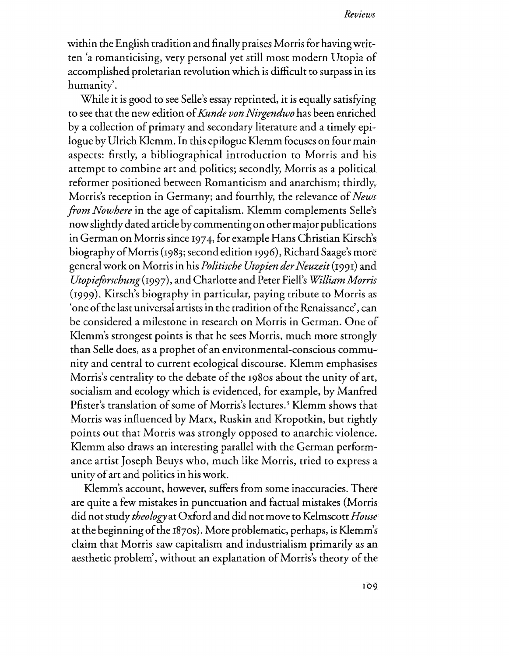within the English tradition and finally praises Morris for having written 'a romanticising, very personal yet still most modern Utopia of accomplished proletarian revolution which is difficult to surpass in its humanity'.

While it is good to see Selle's essay reprinted, it is equally satisfying to see that the new edition of*Kunde von Nirgendwo* has been enriched by a collection of primary and secondary literature and a timely epilogue byUlrich Klemm. In this epilogue *Klemm* focuses on four main aspects: firstly, a bibliographical introduction to Morris and his attempt to combine art and politics; secondly, Morris as a political reformer positioned between Romanticism and anarchism; thirdly, Morris's reception in Germany; and fourthly, the relevance of*News from Nowhere* in the age of capitalism. Klemm complements Selle's nowslightly dated article by commentingon othermajor publications in German on Morris since 1974, for example Hans Christian Kirsch's biographyofMorris (1983; second edition 1996), Richard Saage's more general work on Morris in his *Politische Utopien derNeuzeit* (1991) and *Utopieforschung(1997),* and Charlotte and Peter Fidl's *WilliamMorris* (1999). Kirsch's biography in particular, paying tribute to Morris as 'one ofthe last universal artists in the tradition ofthe Renaissance', can be considered a milestone in research on Morris in German. One of Klemm's strongest points is that he sees Morris, much more strongly than Selle does, as a prophet of an environmental-conscious community and central to current ecological discourse. *Klemm* emphasises Morris's centrality to the debate of the 1980s about the unity of art, socialism and ecology which is evidenced, for example, by Manfred Pfister's translation of some of Morris's lectures.<sup>3</sup> Klemm shows that Morris was influenced by Marx, Ruskin and Kropotkin, but rightly points out that Morris was strongly opposed to anarchic violence. Klemm also draws an interesting parallel with the German performance artist Joseph Beuys who, much like Morris, tried to express a unity of art and politics in his work.

Klemm's account, however, suffers from some inaccuracies. There are quite a few mistakes in punctuation and factual mistakes (Morris did notstudy *theology* at Oxford and did not move to Kelmscott *House* at the beginning ofthe 1870s). More problematic, perhaps, is *Klemm's* claim that Morris saw capitalism and industrialism primarily as an aesthetic problem', without an explanation of Morris's theory of the